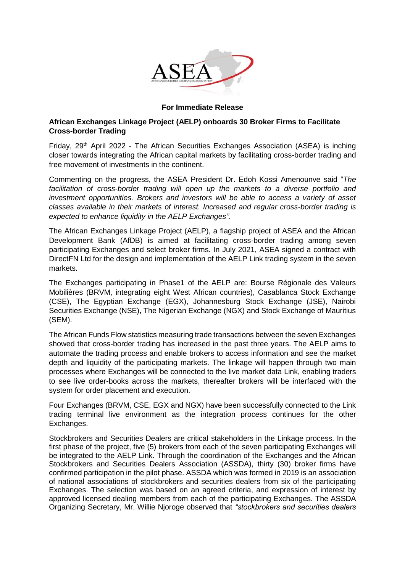

## **For Immediate Release**

## **African Exchanges Linkage Project (AELP) onboards 30 Broker Firms to Facilitate Cross-border Trading**

Friday,  $29<sup>th</sup>$  April 2022 - The African Securities Exchanges Association (ASEA) is inching closer towards integrating the African capital markets by facilitating cross-border trading and free movement of investments in the continent.

Commenting on the progress, the ASEA President Dr. Edoh Kossi Amenounve said "*The facilitation of cross-border trading will open up the markets to a diverse portfolio and investment opportunities. Brokers and investors will be able to access a variety of asset classes available in their markets of interest. Increased and regular cross-border trading is expected to enhance liquidity in the AELP Exchanges".* 

The African Exchanges Linkage Project (AELP), a flagship project of ASEA and the African Development Bank (AfDB) is aimed at facilitating cross-border trading among seven participating Exchanges and select broker firms. In July 2021, ASEA signed a contract with DirectFN Ltd for the design and implementation of the AELP Link trading system in the seven markets.

The Exchanges participating in Phase1 of the AELP are: Bourse Régionale des Valeurs Mobilières (BRVM, integrating eight West African countries), Casablanca Stock Exchange (CSE), The Egyptian Exchange (EGX), Johannesburg Stock Exchange (JSE), Nairobi Securities Exchange (NSE), The Nigerian Exchange (NGX) and Stock Exchange of Mauritius (SEM).

The African Funds Flow statistics measuring trade transactions between the seven Exchanges showed that cross-border trading has increased in the past three years. The AELP aims to automate the trading process and enable brokers to access information and see the market depth and liquidity of the participating markets. The linkage will happen through two main processes where Exchanges will be connected to the live market data Link, enabling traders to see live order-books across the markets, thereafter brokers will be interfaced with the system for order placement and execution.

Four Exchanges (BRVM, CSE, EGX and NGX) have been successfully connected to the Link trading terminal live environment as the integration process continues for the other Exchanges.

Stockbrokers and Securities Dealers are critical stakeholders in the Linkage process. In the first phase of the project, five (5) brokers from each of the seven participating Exchanges will be integrated to the AELP Link. Through the coordination of the Exchanges and the African Stockbrokers and Securities Dealers Association (ASSDA), thirty (30) broker firms have confirmed participation in the pilot phase. ASSDA which was formed in 2019 is an association of national associations of stockbrokers and securities dealers from six of the participating Exchanges. The selection was based on an agreed criteria, and expression of interest by approved licensed dealing members from each of the participating Exchanges. The ASSDA Organizing Secretary, Mr. Willie Njoroge observed that *"stockbrokers and securities dealers*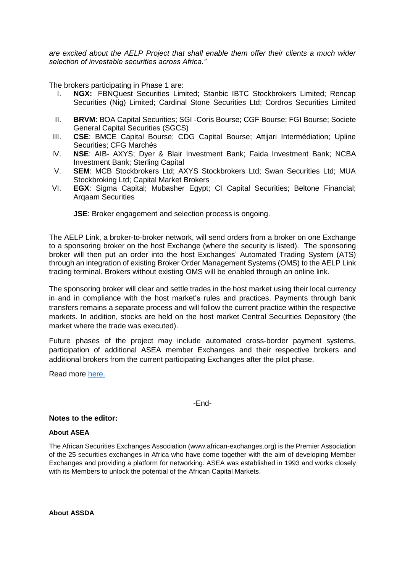*are excited about the AELP Project that shall enable them offer their clients a much wider selection of investable securities across Africa."*

The brokers participating in Phase 1 are:

- I. **NGX:** FBNQuest Securities Limited; Stanbic IBTC Stockbrokers Limited; Rencap Securities (Nig) Limited; Cardinal Stone Securities Ltd; Cordros Securities Limited
- II. **BRVM**: BOA Capital Securities; SGI -Coris Bourse; CGF Bourse; FGI Bourse; Societe General Capital Securities (SGCS)
- III. **CSE**: BMCE Capital Bourse; CDG Capital Bourse; Attijari Intermédiation; Upline Securities; CFG Marchés
- IV. **NSE**: AIB- AXYS; Dyer & Blair Investment Bank; Faida Investment Bank; NCBA Investment Bank; Sterling Capital
- V. **SEM**: MCB Stockbrokers Ltd; AXYS Stockbrokers Ltd; Swan Securities Ltd; MUA Stockbroking Ltd; Capital Market Brokers
- VI. **EGX**: Sigma Capital; Mubasher Egypt; CI Capital Securities; Beltone Financial; Arqaam Securities

**JSE**: Broker engagement and selection process is ongoing.

The AELP Link, a broker-to-broker network, will send orders from a broker on one Exchange to a sponsoring broker on the host Exchange (where the security is listed). The sponsoring broker will then put an order into the host Exchanges' Automated Trading System (ATS) through an integration of existing Broker Order Management Systems (OMS) to the AELP Link trading terminal. Brokers without existing OMS will be enabled through an online link.

The sponsoring broker will clear and settle trades in the host market using their local currency in and in compliance with the host market's rules and practices. Payments through bank transfers remains a separate process and will follow the current practice within the respective markets. In addition, stocks are held on the host market Central Securities Depository (the market where the trade was executed).

Future phases of the project may include automated cross-border payment systems, participation of additional ASEA member Exchanges and their respective brokers and additional brokers from the current participating Exchanges after the pilot phase.

Read more [here.](https://africanexchangeslink.com/)

-End-

## **Notes to the editor:**

## **About ASEA**

The African Securities Exchanges Association (www.african-exchanges.org) is the Premier Association of the 25 securities exchanges in Africa who have come together with the aim of developing Member Exchanges and providing a platform for networking. ASEA was established in 1993 and works closely with its Members to unlock the potential of the African Capital Markets.

**About ASSDA**